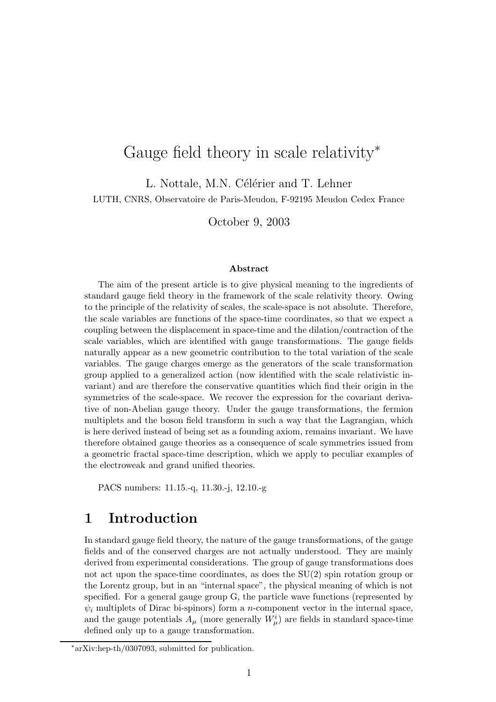# Gauge field theory in scale relativity<sup>\*</sup>

L. Nottale, M.N. Célérier and T. Lehner LUTH, CNRS, Observatoire de Paris-Meudon, F-92195 Meudon Cedex France

October 9, 2003

#### Abstract

The aim of the present article is to give physical meaning to the ingredients of standard gauge field theory in the framework of the scale relativity theory. Owing to the principle of the relativity of scales, the scale-space is not absolute. Therefore, the scale variables are functions of the space-time coordinates, so that we expect a coupling between the displacement in space-time and the dilation/contraction of the scale variables, which are identified with gauge transformations. The gauge fields naturally appear as a new geometric contribution to the total variation of the scale variables. The gauge charges emerge as the generators of the scale transformation group applied to a generalized action (now identified with the scale relativistic invariant) and are therefore the conservative quantities which find their origin in the symmetries of the scale-space. We recover the expression for the covariant derivative of non-Abelian gauge theory. Under the gauge transformations, the fermion multiplets and the boson field transform in such a way that the Lagrangian, which is here derived instead of being set as a founding axiom, remains invariant. We have therefore obtained gauge theories as a consequence of scale symmetries issued from a geometric fractal space-time description, which we apply to peculiar examples of the electroweak and grand unified theories.

PACS numbers: 11.15.-q, 11.30.-j, 12.10.-g

# 1 Introduction

In standard gauge field theory, the nature of the gauge transformations, of the gauge fields and of the conserved charges are not actually understood. They are mainly derived from experimental considerations. The group of gauge transformations does not act upon the space-time coordinates, as does the SU(2) spin rotation group or the Lorentz group, but in an "internal space", the physical meaning of which is not specified. For a general gauge group G, the particle wave functions (represented by  $\psi_i$  multiplets of Dirac bi-spinors) form a *n*-component vector in the internal space, and the gauge potentials  $A_{\mu}$  (more generally  $W_{\mu}^{i}$ ) are fields in standard space-time defined only up to a gauge transformation.

<sup>∗</sup>arXiv:hep-th/0307093, submitted for publication.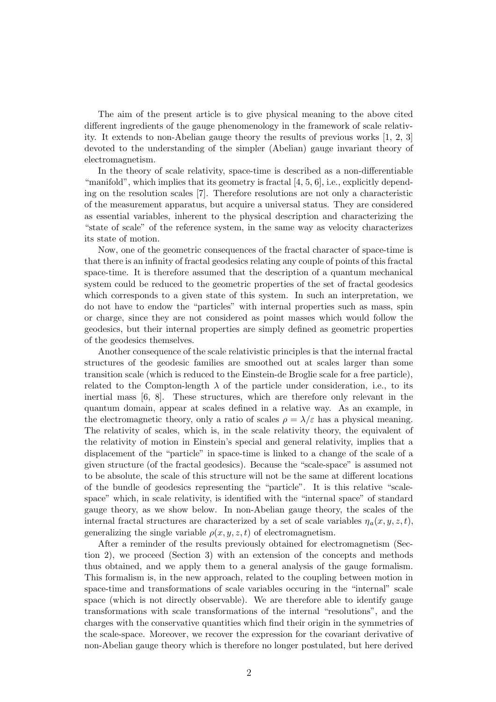The aim of the present article is to give physical meaning to the above cited different ingredients of the gauge phenomenology in the framework of scale relativity. It extends to non-Abelian gauge theory the results of previous works [1, 2, 3] devoted to the understanding of the simpler (Abelian) gauge invariant theory of electromagnetism.

In the theory of scale relativity, space-time is described as a non-differentiable "manifold", which implies that its geometry is fractal  $[4, 5, 6]$ , i.e., explicitly depending on the resolution scales [7]. Therefore resolutions are not only a characteristic of the measurement apparatus, but acquire a universal status. They are considered as essential variables, inherent to the physical description and characterizing the "state of scale" of the reference system, in the same way as velocity characterizes its state of motion.

Now, one of the geometric consequences of the fractal character of space-time is that there is an infinity of fractal geodesics relating any couple of points of this fractal space-time. It is therefore assumed that the description of a quantum mechanical system could be reduced to the geometric properties of the set of fractal geodesics which corresponds to a given state of this system. In such an interpretation, we do not have to endow the "particles" with internal properties such as mass, spin or charge, since they are not considered as point masses which would follow the geodesics, but their internal properties are simply defined as geometric properties of the geodesics themselves.

Another consequence of the scale relativistic principles is that the internal fractal structures of the geodesic families are smoothed out at scales larger than some transition scale (which is reduced to the Einstein-de Broglie scale for a free particle), related to the Compton-length  $\lambda$  of the particle under consideration, i.e., to its inertial mass [6, 8]. These structures, which are therefore only relevant in the quantum domain, appear at scales defined in a relative way. As an example, in the electromagnetic theory, only a ratio of scales  $\rho = \lambda/\varepsilon$  has a physical meaning. The relativity of scales, which is, in the scale relativity theory, the equivalent of the relativity of motion in Einstein's special and general relativity, implies that a displacement of the "particle" in space-time is linked to a change of the scale of a given structure (of the fractal geodesics). Because the "scale-space" is assumed not to be absolute, the scale of this structure will not be the same at different locations of the bundle of geodesics representing the "particle". It is this relative "scalespace" which, in scale relativity, is identified with the "internal space" of standard gauge theory, as we show below. In non-Abelian gauge theory, the scales of the internal fractal structures are characterized by a set of scale variables  $\eta_a(x, y, z, t)$ , generalizing the single variable  $\rho(x, y, z, t)$  of electromagnetism.

After a reminder of the results previously obtained for electromagnetism (Section 2), we proceed (Section 3) with an extension of the concepts and methods thus obtained, and we apply them to a general analysis of the gauge formalism. This formalism is, in the new approach, related to the coupling between motion in space-time and transformations of scale variables occuring in the "internal" scale space (which is not directly observable). We are therefore able to identify gauge transformations with scale transformations of the internal "resolutions", and the charges with the conservative quantities which find their origin in the symmetries of the scale-space. Moreover, we recover the expression for the covariant derivative of non-Abelian gauge theory which is therefore no longer postulated, but here derived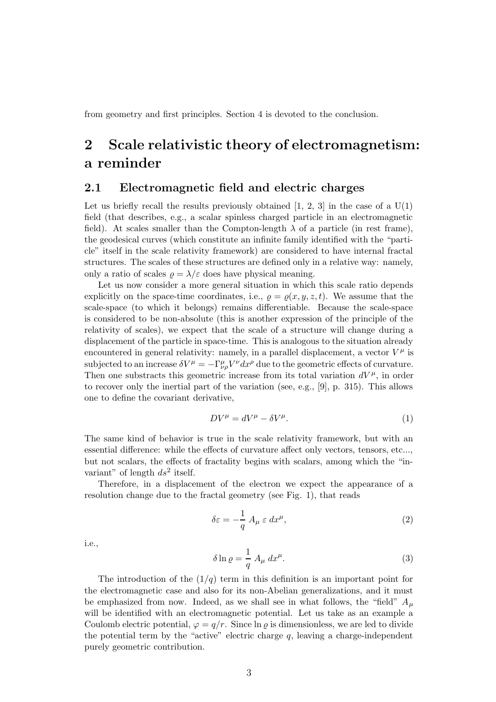from geometry and first principles. Section 4 is devoted to the conclusion.

# 2 Scale relativistic theory of electromagnetism: a reminder

## 2.1 Electromagnetic field and electric charges

Let us briefly recall the results previously obtained  $[1, 2, 3]$  in the case of a  $U(1)$ field (that describes, e.g., a scalar spinless charged particle in an electromagnetic field). At scales smaller than the Compton-length  $\lambda$  of a particle (in rest frame), the geodesical curves (which constitute an infinite family identified with the "particle" itself in the scale relativity framework) are considered to have internal fractal structures. The scales of these structures are defined only in a relative way: namely, only a ratio of scales  $\rho = \lambda/\varepsilon$  does have physical meaning.

Let us now consider a more general situation in which this scale ratio depends explicitly on the space-time coordinates, i.e.,  $\rho = \rho(x, y, z, t)$ . We assume that the scale-space (to which it belongs) remains differentiable. Because the scale-space is considered to be non-absolute (this is another expression of the principle of the relativity of scales), we expect that the scale of a structure will change during a displacement of the particle in space-time. This is analogous to the situation already encountered in general relativity: namely, in a parallel displacement, a vector  $V^{\mu}$  is subjected to an increase  $\delta V^{\mu} = -\Gamma^{\mu}_{\nu\rho}V^{\nu}dx^{\rho}$  due to the geometric effects of curvature. Then one substracts this geometric increase from its total variation  $dV^{\mu}$ , in order to recover only the inertial part of the variation (see, e.g., [9], p. 315). This allows one to define the covariant derivative,

$$
DV^{\mu} = dV^{\mu} - \delta V^{\mu}.
$$
 (1)

The same kind of behavior is true in the scale relativity framework, but with an essential difference: while the effects of curvature affect only vectors, tensors, etc..., but not scalars, the effects of fractality begins with scalars, among which the "invariant" of length  $ds^2$  itself.

Therefore, in a displacement of the electron we expect the appearance of a resolution change due to the fractal geometry (see Fig. 1), that reads

$$
\delta \varepsilon = -\frac{1}{q} A_{\mu} \varepsilon \, dx^{\mu},\tag{2}
$$

i.e.,

$$
\delta \ln \varrho = \frac{1}{q} A_{\mu} dx^{\mu}.
$$
\n(3)

The introduction of the  $(1/q)$  term in this definition is an important point for the electromagnetic case and also for its non-Abelian generalizations, and it must be emphasized from now. Indeed, as we shall see in what follows, the "field"  $A_\mu$ will be identified with an electromagnetic potential. Let us take as an example a Coulomb electric potential,  $\varphi = q/r$ . Since  $\ln \varrho$  is dimensionless, we are led to divide the potential term by the "active" electric charge  $q$ , leaving a charge-independent purely geometric contribution.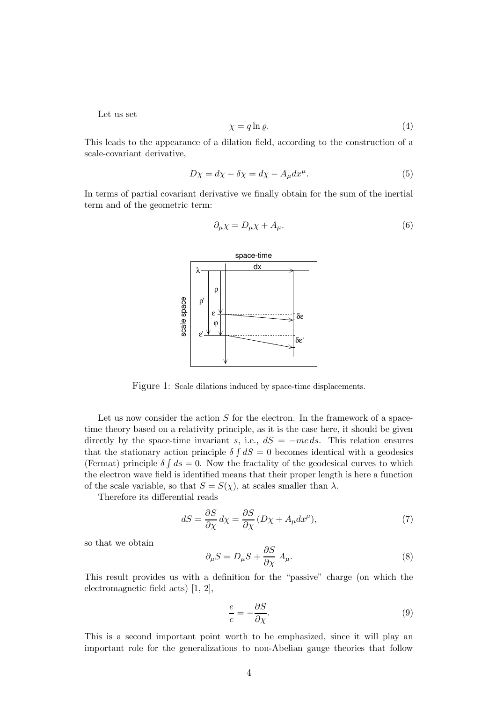Let us set

$$
\chi = q \ln \varrho. \tag{4}
$$

This leads to the appearance of a dilation field, according to the construction of a scale-covariant derivative,

$$
D\chi = d\chi - \delta\chi = d\chi - A_{\mu}dx^{\mu}.
$$
 (5)

In terms of partial covariant derivative we finally obtain for the sum of the inertial term and of the geometric term:

$$
\partial_{\mu} \chi = D_{\mu} \chi + A_{\mu}.
$$
\n<sup>(6)</sup>



Figure 1: Scale dilations induced by space-time displacements.

Let us now consider the action  $S$  for the electron. In the framework of a spacetime theory based on a relativity principle, as it is the case here, it should be given directly by the space-time invariant s, i.e.,  $dS = -mc ds$ . This relation ensures that the stationary action principle  $\delta \int dS = 0$  becomes identical with a geodesics (Fermat) principle  $\delta \int ds = 0$ . Now the fractality of the geodesical curves to which the electron wave field is identified means that their proper length is here a function of the scale variable, so that  $S = S(\chi)$ , at scales smaller than  $\lambda$ .

Therefore its differential reads

$$
dS = \frac{\partial S}{\partial \chi} d\chi = \frac{\partial S}{\partial \chi} (D\chi + A_{\mu} dx^{\mu}), \tag{7}
$$

so that we obtain

$$
\partial_{\mu} S = D_{\mu} S + \frac{\partial S}{\partial \chi} A_{\mu}.
$$
\n(8)

This result provides us with a definition for the "passive" charge (on which the electromagnetic field acts) [1, 2],

$$
\frac{e}{c} = -\frac{\partial S}{\partial \chi}.\tag{9}
$$

This is a second important point worth to be emphasized, since it will play an important role for the generalizations to non-Abelian gauge theories that follow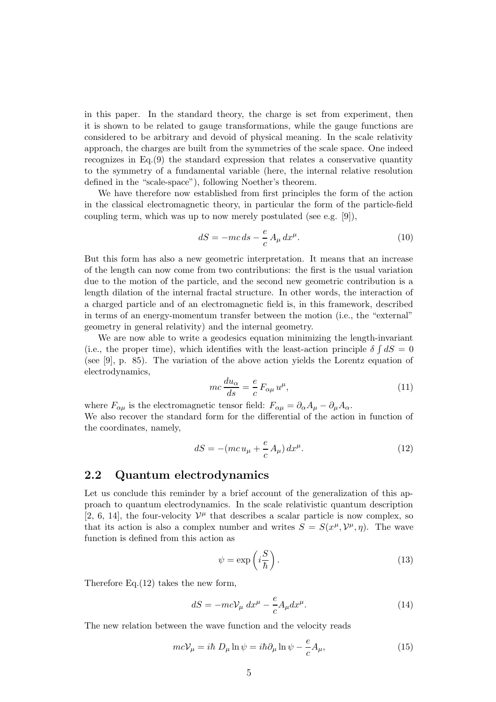in this paper. In the standard theory, the charge is set from experiment, then it is shown to be related to gauge transformations, while the gauge functions are considered to be arbitrary and devoid of physical meaning. In the scale relativity approach, the charges are built from the symmetries of the scale space. One indeed recognizes in Eq.(9) the standard expression that relates a conservative quantity to the symmetry of a fundamental variable (here, the internal relative resolution defined in the "scale-space"), following Noether's theorem.

We have therefore now established from first principles the form of the action in the classical electromagnetic theory, in particular the form of the particle-field coupling term, which was up to now merely postulated (see e.g. [9]),

$$
dS = -mc ds - \frac{e}{c} A_{\mu} dx^{\mu}.
$$
 (10)

But this form has also a new geometric interpretation. It means that an increase of the length can now come from two contributions: the first is the usual variation due to the motion of the particle, and the second new geometric contribution is a length dilation of the internal fractal structure. In other words, the interaction of a charged particle and of an electromagnetic field is, in this framework, described in terms of an energy-momentum transfer between the motion (i.e., the "external" geometry in general relativity) and the internal geometry.

We are now able to write a geodesics equation minimizing the length-invariant (i.e., the proper time), which identifies with the least-action principle  $\delta \int dS = 0$ (see [9], p. 85). The variation of the above action yields the Lorentz equation of electrodynamics,

$$
mc\frac{du_{\alpha}}{ds} = \frac{e}{c}F_{\alpha\mu}u^{\mu},\qquad(11)
$$

where  $F_{\alpha\mu}$  is the electromagnetic tensor field:  $F_{\alpha\mu} = \partial_{\alpha}A_{\mu} - \partial_{\mu}A_{\alpha}$ .

We also recover the standard form for the differential of the action in function of the coordinates, namely,

$$
dS = -(mc u_{\mu} + \frac{e}{c} A_{\mu}) dx^{\mu}.
$$
 (12)

## 2.2 Quantum electrodynamics

Let us conclude this reminder by a brief account of the generalization of this approach to quantum electrodynamics. In the scale relativistic quantum description [2, 6, 14], the four-velocity  $\mathcal{V}^{\mu}$  that describes a scalar particle is now complex, so that its action is also a complex number and writes  $S = S(x^{\mu}, \mathcal{V}^{\mu}, \eta)$ . The wave function is defined from this action as

$$
\psi = \exp\left(i\frac{S}{\hbar}\right). \tag{13}
$$

Therefore Eq.(12) takes the new form,

$$
dS = -mc\mathcal{V}_{\mu} dx^{\mu} - \frac{e}{c}A_{\mu}dx^{\mu}.
$$
 (14)

The new relation between the wave function and the velocity reads

$$
mc\mathcal{V}_{\mu} = i\hbar D_{\mu} \ln \psi = i\hbar \partial_{\mu} \ln \psi - \frac{e}{c} A_{\mu}, \qquad (15)
$$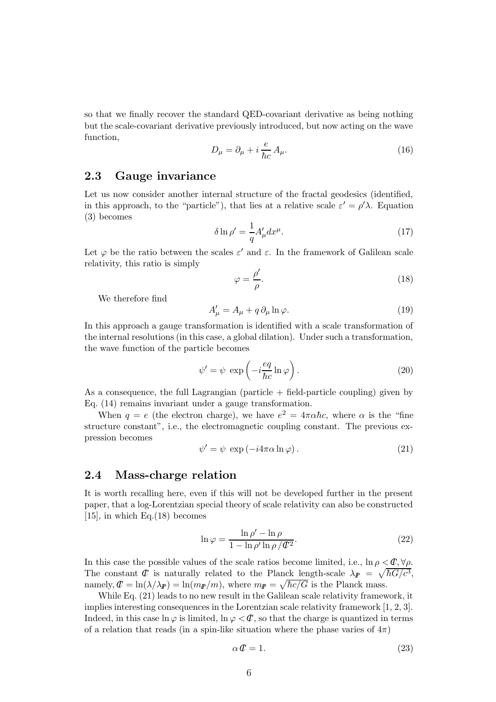so that we finally recover the standard QED-covariant derivative as being nothing but the scale-covariant derivative previously introduced, but now acting on the wave function,

$$
D_{\mu} = \partial_{\mu} + i \frac{e}{\hbar c} A_{\mu}.
$$
 (16)

### 2.3 Gauge invariance

Let us now consider another internal structure of the fractal geodesics (identified, in this approach, to the "particle"), that lies at a relative scale  $\varepsilon' = \rho' \lambda$ . Equation (3) becomes

$$
\delta \ln \rho' = \frac{1}{q} A'_{\mu} dx^{\mu}.
$$
\n(17)

Let  $\varphi$  be the ratio between the scales  $\varepsilon'$  and  $\varepsilon$ . In the framework of Galilean scale relativity, this ratio is simply

$$
\varphi = \frac{\rho'}{\rho}.\tag{18}
$$

We therefore find

$$
A'_{\mu} = A_{\mu} + q \, \partial_{\mu} \ln \varphi. \tag{19}
$$

In this approach a gauge transformation is identified with a scale transformation of the internal resolutions (in this case, a global dilation). Under such a transformation, the wave function of the particle becomes

$$
\psi' = \psi \, \exp\left(-i\frac{eq}{\hbar c} \ln \varphi\right). \tag{20}
$$

As a consequence, the full Lagrangian (particle  $+$  field-particle coupling) given by Eq. (14) remains invariant under a gauge transformation.

When  $q = e$  (the electron charge), we have  $e^2 = 4\pi \alpha \hbar c$ , where  $\alpha$  is the "fine" structure constant", i.e., the electromagnetic coupling constant. The previous expression becomes

$$
\psi' = \psi \exp(-i4\pi\alpha \ln \varphi). \tag{21}
$$

#### 2.4 Mass-charge relation

It is worth recalling here, even if this will not be developed further in the present paper, that a log-Lorentzian special theory of scale relativity can also be constructed [15], in which Eq. $(18)$  becomes

$$
\ln \varphi = \frac{\ln \rho' - \ln \rho}{1 - \ln \rho' \ln \rho / \mathcal{C}^2}.
$$
\n(22)

In this case the possible values of the scale ratios become limited, i.e.,  $\ln \rho < \mathcal{C}, \forall \rho$ . The constant  $\mathcal C$  is naturally related to the Planck length-scale  $\lambda_{I\!\!P} = \sqrt{\hbar G/c^3}$ , namely,  $\mathcal{C} = \ln(\lambda/\lambda_F) = \ln(m_F/m)$ , where  $m_F = \sqrt{\hbar c/G}$  is the Planck mass.

While Eq. (21) leads to no new result in the Galilean scale relativity framework, it implies interesting consequences in the Lorentzian scale relativity framework [1, 2, 3]. Indeed, in this case  $\ln \varphi$  is limited,  $\ln \varphi < \mathcal{C}$ , so that the charge is quantized in terms of a relation that reads (in a spin-like situation where the phase varies of  $4\pi$ )

$$
\alpha \mathcal{C} = 1. \tag{23}
$$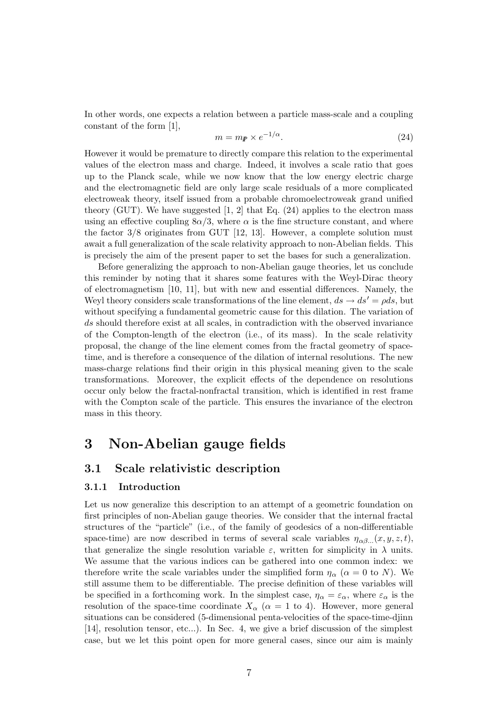In other words, one expects a relation between a particle mass-scale and a coupling constant of the form [1],

$$
m = m_{\mathbb{P}} \times e^{-1/\alpha}.
$$
 (24)

However it would be premature to directly compare this relation to the experimental values of the electron mass and charge. Indeed, it involves a scale ratio that goes up to the Planck scale, while we now know that the low energy electric charge and the electromagnetic field are only large scale residuals of a more complicated electroweak theory, itself issued from a probable chromoelectroweak grand unified theory (GUT). We have suggested  $[1, 2]$  that Eq.  $(24)$  applies to the electron mass using an effective coupling  $8\alpha/3$ , where  $\alpha$  is the fine structure constant, and where the factor  $3/8$  originates from GUT [12, 13]. However, a complete solution must await a full generalization of the scale relativity approach to non-Abelian fields. This is precisely the aim of the present paper to set the bases for such a generalization.

Before generalizing the approach to non-Abelian gauge theories, let us conclude this reminder by noting that it shares some features with the Weyl-Dirac theory of electromagnetism [10, 11], but with new and essential differences. Namely, the Weyl theory considers scale transformations of the line element,  $ds \rightarrow ds' = \rho ds$ , but without specifying a fundamental geometric cause for this dilation. The variation of ds should therefore exist at all scales, in contradiction with the observed invariance of the Compton-length of the electron (i.e., of its mass). In the scale relativity proposal, the change of the line element comes from the fractal geometry of spacetime, and is therefore a consequence of the dilation of internal resolutions. The new mass-charge relations find their origin in this physical meaning given to the scale transformations. Moreover, the explicit effects of the dependence on resolutions occur only below the fractal-nonfractal transition, which is identified in rest frame with the Compton scale of the particle. This ensures the invariance of the electron mass in this theory.

# 3 Non-Abelian gauge fields

### 3.1 Scale relativistic description

#### 3.1.1 Introduction

Let us now generalize this description to an attempt of a geometric foundation on first principles of non-Abelian gauge theories. We consider that the internal fractal structures of the "particle" (i.e., of the family of geodesics of a non-differentiable space-time) are now described in terms of several scale variables  $\eta_{\alpha\beta}$ ... $(x, y, z, t)$ , that generalize the single resolution variable  $\varepsilon$ , written for simplicity in  $\lambda$  units. We assume that the various indices can be gathered into one common index: we therefore write the scale variables under the simplified form  $\eta_{\alpha}$  ( $\alpha = 0$  to N). We still assume them to be differentiable. The precise definition of these variables will be specified in a forthcoming work. In the simplest case,  $\eta_{\alpha} = \varepsilon_{\alpha}$ , where  $\varepsilon_{\alpha}$  is the resolution of the space-time coordinate  $X_{\alpha}$  ( $\alpha = 1$  to 4). However, more general situations can be considered (5-dimensional penta-velocities of the space-time-djinn [14], resolution tensor, etc...). In Sec. 4, we give a brief discussion of the simplest case, but we let this point open for more general cases, since our aim is mainly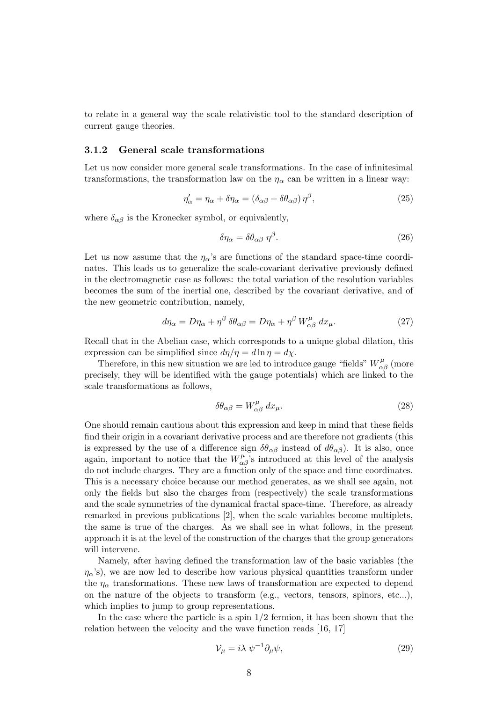to relate in a general way the scale relativistic tool to the standard description of current gauge theories.

#### 3.1.2 General scale transformations

Let us now consider more general scale transformations. In the case of infinitesimal transformations, the transformation law on the  $\eta_{\alpha}$  can be written in a linear way:

$$
\eta'_{\alpha} = \eta_{\alpha} + \delta \eta_{\alpha} = (\delta_{\alpha\beta} + \delta \theta_{\alpha\beta}) \eta^{\beta}, \qquad (25)
$$

where  $\delta_{\alpha\beta}$  is the Kronecker symbol, or equivalently,

$$
\delta \eta_{\alpha} = \delta \theta_{\alpha \beta} \eta^{\beta}.
$$
\n(26)

Let us now assume that the  $\eta_{\alpha}$ 's are functions of the standard space-time coordinates. This leads us to generalize the scale-covariant derivative previously defined in the electromagnetic case as follows: the total variation of the resolution variables becomes the sum of the inertial one, described by the covariant derivative, and of the new geometric contribution, namely,

$$
d\eta_{\alpha} = D\eta_{\alpha} + \eta^{\beta} \delta\theta_{\alpha\beta} = D\eta_{\alpha} + \eta^{\beta} W^{\mu}_{\alpha\beta} dx_{\mu}.
$$
 (27)

Recall that in the Abelian case, which corresponds to a unique global dilation, this expression can be simplified since  $d\eta/\eta = d\ln\eta = d\chi$ .

Therefore, in this new situation we are led to introduce gauge "fields"  $W^{\mu}_{\alpha\beta}$  (more precisely, they will be identified with the gauge potentials) which are linked to the scale transformations as follows,

$$
\delta\theta_{\alpha\beta} = W^{\mu}_{\alpha\beta} dx_{\mu}.
$$
\n(28)

One should remain cautious about this expression and keep in mind that these fields find their origin in a covariant derivative process and are therefore not gradients (this is expressed by the use of a difference sign  $\delta\theta_{\alpha\beta}$  instead of  $d\theta_{\alpha\beta}$ ). It is also, once again, important to notice that the  $W^{\mu}_{\alpha\beta}$ 's introduced at this level of the analysis do not include charges. They are a function only of the space and time coordinates. This is a necessary choice because our method generates, as we shall see again, not only the fields but also the charges from (respectively) the scale transformations and the scale symmetries of the dynamical fractal space-time. Therefore, as already remarked in previous publications [2], when the scale variables become multiplets, the same is true of the charges. As we shall see in what follows, in the present approach it is at the level of the construction of the charges that the group generators will intervene.

Namely, after having defined the transformation law of the basic variables (the  $\eta_{\alpha}$ 's), we are now led to describe how various physical quantities transform under the  $\eta_{\alpha}$  transformations. These new laws of transformation are expected to depend on the nature of the objects to transform (e.g., vectors, tensors, spinors, etc...), which implies to jump to group representations.

In the case where the particle is a spin  $1/2$  fermion, it has been shown that the relation between the velocity and the wave function reads [16, 17]

$$
\mathcal{V}_{\mu} = i\lambda \ \psi^{-1} \partial_{\mu} \psi, \tag{29}
$$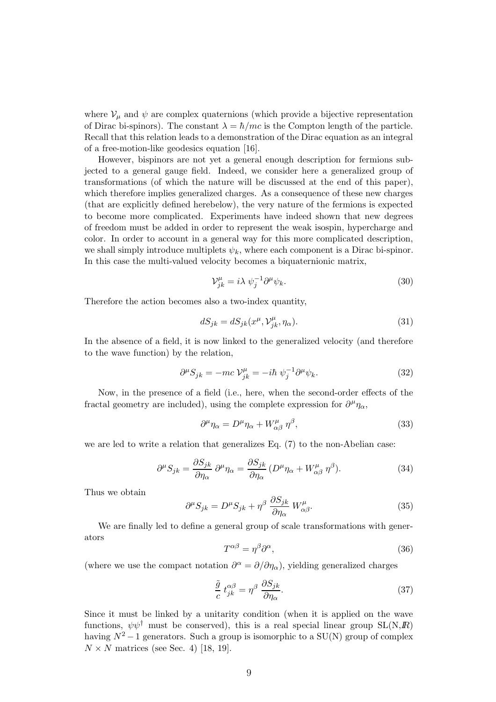where  $V_{\mu}$  and  $\psi$  are complex quaternions (which provide a bijective representation of Dirac bi-spinors). The constant  $\lambda = \hbar/mc$  is the Compton length of the particle. Recall that this relation leads to a demonstration of the Dirac equation as an integral of a free-motion-like geodesics equation [16].

However, bispinors are not yet a general enough description for fermions subjected to a general gauge field. Indeed, we consider here a generalized group of transformations (of which the nature will be discussed at the end of this paper), which therefore implies generalized charges. As a consequence of these new charges (that are explicitly defined herebelow), the very nature of the fermions is expected to become more complicated. Experiments have indeed shown that new degrees of freedom must be added in order to represent the weak isospin, hypercharge and color. In order to account in a general way for this more complicated description, we shall simply introduce multiplets  $\psi_k$ , where each component is a Dirac bi-spinor. In this case the multi-valued velocity becomes a biquaternionic matrix,

$$
\mathcal{V}_{jk}^{\mu} = i\lambda \ \psi_j^{-1} \partial^{\mu} \psi_k. \tag{30}
$$

Therefore the action becomes also a two-index quantity,

$$
dS_{jk} = dS_{jk}(x^{\mu}, V_{jk}^{\mu}, \eta_{\alpha}).
$$
\n(31)

In the absence of a field, it is now linked to the generalized velocity (and therefore to the wave function) by the relation,

$$
\partial^{\mu} S_{jk} = -mc \mathcal{V}_{jk}^{\mu} = -i\hbar \psi_j^{-1} \partial^{\mu} \psi_k. \tag{32}
$$

Now, in the presence of a field (i.e., here, when the second-order effects of the fractal geometry are included), using the complete expression for  $\partial^{\mu}\eta_{\alpha}$ ,

$$
\partial^{\mu}\eta_{\alpha} = D^{\mu}\eta_{\alpha} + W^{\mu}_{\alpha\beta} \eta^{\beta}, \qquad (33)
$$

we are led to write a relation that generalizes  $Eq. (7)$  to the non-Abelian case:

$$
\partial^{\mu} S_{jk} = \frac{\partial S_{jk}}{\partial \eta_{\alpha}} \partial^{\mu} \eta_{\alpha} = \frac{\partial S_{jk}}{\partial \eta_{\alpha}} \left( D^{\mu} \eta_{\alpha} + W^{\mu}_{\alpha \beta} \eta^{\beta} \right).
$$
 (34)

Thus we obtain

$$
\partial^{\mu} S_{jk} = D^{\mu} S_{jk} + \eta^{\beta} \frac{\partial S_{jk}}{\partial \eta_{\alpha}} W^{\mu}_{\alpha\beta}.
$$
 (35)

We are finally led to define a general group of scale transformations with generators

$$
T^{\alpha\beta} = \eta^{\beta}\partial^{\alpha},\tag{36}
$$

(where we use the compact notation  $\partial^{\alpha} = \partial/\partial \eta_{\alpha}$ ), yielding generalized charges

$$
\frac{\tilde{g}}{c} t_{jk}^{\alpha\beta} = \eta^{\beta} \frac{\partial S_{jk}}{\partial \eta_{\alpha}}.
$$
\n(37)

Since it must be linked by a unitarity condition (when it is applied on the wave functions,  $\psi \psi^{\dagger}$  must be conserved), this is a real special linear group  $SL(N,\mathbb{R})$ having  $N^2 - 1$  generators. Such a group is isomorphic to a SU(N) group of complex  $N \times N$  matrices (see Sec. 4) [18, 19].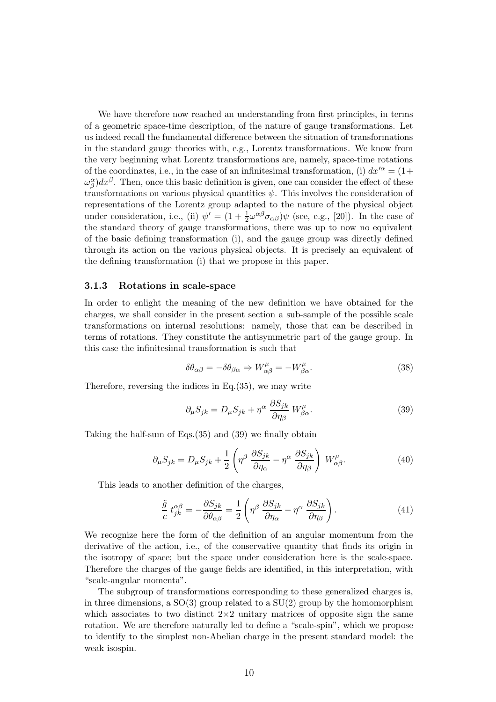We have therefore now reached an understanding from first principles, in terms of a geometric space-time description, of the nature of gauge transformations. Let us indeed recall the fundamental difference between the situation of transformations in the standard gauge theories with, e.g., Lorentz transformations. We know from the very beginning what Lorentz transformations are, namely, space-time rotations of the coordinates, i.e., in the case of an infinitesimal transformation, (i)  $dx'^{\alpha} = (1 +$  $\omega_{\beta}^{\alpha}$ )d $x^{\beta}$ . Then, once this basic definition is given, one can consider the effect of these transformations on various physical quantities  $\psi$ . This involves the consideration of representations of the Lorentz group adapted to the nature of the physical object under consideration, i.e., (ii)  $\psi' = (1 + \frac{1}{2})$  $\frac{1}{2}\omega^{\alpha\beta}\sigma_{\alpha\beta}$ ) $\psi$  (see, e.g., [20]). In the case of the standard theory of gauge transformations, there was up to now no equivalent of the basic defining transformation (i), and the gauge group was directly defined through its action on the various physical objects. It is precisely an equivalent of the defining transformation (i) that we propose in this paper.

#### 3.1.3 Rotations in scale-space

In order to enlight the meaning of the new definition we have obtained for the charges, we shall consider in the present section a sub-sample of the possible scale transformations on internal resolutions: namely, those that can be described in terms of rotations. They constitute the antisymmetric part of the gauge group. In this case the infinitesimal transformation is such that

$$
\delta\theta_{\alpha\beta} = -\delta\theta_{\beta\alpha} \Rightarrow W^{\mu}_{\alpha\beta} = -W^{\mu}_{\beta\alpha}.
$$
\n(38)

Therefore, reversing the indices in Eq.(35), we may write

$$
\partial_{\mu} S_{jk} = D_{\mu} S_{jk} + \eta^{\alpha} \frac{\partial S_{jk}}{\partial \eta_{\beta}} W^{\mu}_{\beta \alpha}.
$$
 (39)

Taking the half-sum of Eqs.(35) and (39) we finally obtain

$$
\partial_{\mu} S_{jk} = D_{\mu} S_{jk} + \frac{1}{2} \left( \eta^{\beta} \frac{\partial S_{jk}}{\partial \eta_{\alpha}} - \eta^{\alpha} \frac{\partial S_{jk}}{\partial \eta_{\beta}} \right) W^{\mu}_{\alpha\beta}.
$$
 (40)

This leads to another definition of the charges,

$$
\frac{\tilde{g}}{c} t_{jk}^{\alpha\beta} = -\frac{\partial S_{jk}}{\partial \theta_{\alpha\beta}} = \frac{1}{2} \left( \eta^{\beta} \frac{\partial S_{jk}}{\partial \eta_{\alpha}} - \eta^{\alpha} \frac{\partial S_{jk}}{\partial \eta_{\beta}} \right). \tag{41}
$$

We recognize here the form of the definition of an angular momentum from the derivative of the action, i.e., of the conservative quantity that finds its origin in the isotropy of space; but the space under consideration here is the scale-space. Therefore the charges of the gauge fields are identified, in this interpretation, with "scale-angular momenta".

The subgroup of transformations corresponding to these generalized charges is, in three dimensions, a  $SO(3)$  group related to a  $SU(2)$  group by the homomorphism which associates to two distinct  $2\times 2$  unitary matrices of opposite sign the same rotation. We are therefore naturally led to define a "scale-spin", which we propose to identify to the simplest non-Abelian charge in the present standard model: the weak isospin.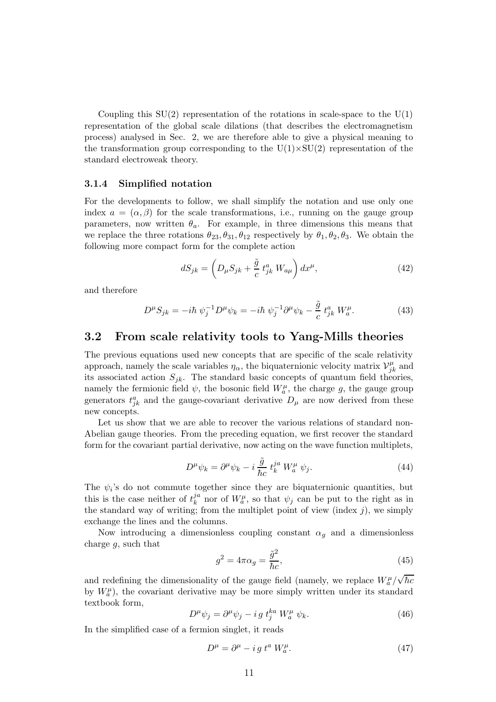Coupling this  $SU(2)$  representation of the rotations in scale-space to the  $U(1)$ representation of the global scale dilations (that describes the electromagnetism process) analysed in Sec. 2, we are therefore able to give a physical meaning to the transformation group corresponding to the  $U(1)\times SU(2)$  representation of the standard electroweak theory.

#### 3.1.4 Simplified notation

For the developments to follow, we shall simplify the notation and use only one index  $a = (\alpha, \beta)$  for the scale transformations, i.e., running on the gauge group parameters, now written  $\theta_a$ . For example, in three dimensions this means that we replace the three rotations  $\theta_{23}, \theta_{31}, \theta_{12}$  respectively by  $\theta_1, \theta_2, \theta_3$ . We obtain the following more compact form for the complete action

$$
dS_{jk} = \left(D_{\mu}S_{jk} + \frac{\tilde{g}}{c}t_{jk}^{a}W_{a\mu}\right)dx^{\mu},\qquad(42)
$$

and therefore

$$
D^{\mu}S_{jk} = -i\hbar \psi_j^{-1} D^{\mu} \psi_k = -i\hbar \psi_j^{-1} \partial^{\mu} \psi_k - \frac{\tilde{g}}{c} t^a_{jk} W_a^{\mu}.
$$
 (43)

## 3.2 From scale relativity tools to Yang-Mills theories

The previous equations used new concepts that are specific of the scale relativity approach, namely the scale variables  $\eta_{\alpha}$ , the biquaternionic velocity matrix  $\mathcal{V}_{jl}^{\mu}$  $j_k^{\mu}$  and its associated action  $S_{jk}$ . The standard basic concepts of quantum field theories, namely the fermionic field  $\psi$ , the bosonic field  $W_a^{\mu}$ , the charge g, the gauge group generators  $t_{jk}^a$  and the gauge-covariant derivative  $D_\mu$  are now derived from these new concepts.

Let us show that we are able to recover the various relations of standard non-Abelian gauge theories. From the preceding equation, we first recover the standard form for the covariant partial derivative, now acting on the wave function multiplets,

$$
D^{\mu}\psi_k = \partial^{\mu}\psi_k - i\,\frac{\tilde{g}}{\hbar c}\,t_k^{ja}\,W_a^{\mu}\,\psi_j. \tag{44}
$$

The  $\psi_i$ 's do not commute together since they are biquaternionic quantities, but this is the case neither of  $t_k^{ja}$  $\dot{y}_k^a$  nor of  $W_a^{\mu}$ , so that  $\psi_j$  can be put to the right as in the standard way of writing; from the multiplet point of view (index  $j$ ), we simply exchange the lines and the columns.

Now introducing a dimensionless coupling constant  $\alpha_g$  and a dimensionless charge g, such that

$$
g^2 = 4\pi\alpha_g = \frac{\tilde{g}^2}{\hbar c},\tag{45}
$$

and redefining the dimensionality of the gauge field (namely, we replace  $W_a^{\mu}/\sqrt{\hbar c}$ by  $W_a^{\mu}$ , the covariant derivative may be more simply written under its standard textbook form,

$$
D^{\mu}\psi_j = \partial^{\mu}\psi_j - ig t_j^{ka} W_a^{\mu} \psi_k.
$$
 (46)

In the simplified case of a fermion singlet, it reads

$$
D^{\mu} = \partial^{\mu} - i g t^{a} W_{a}^{\mu}.
$$
 (47)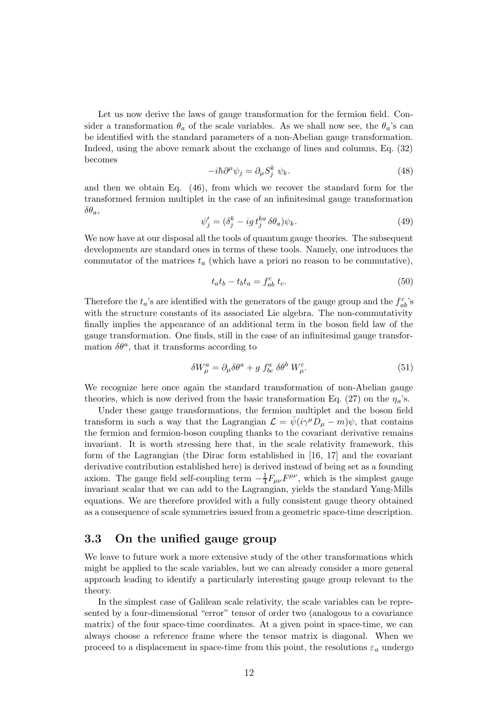Let us now derive the laws of gauge transformation for the fermion field. Consider a transformation  $\theta_a$  of the scale variables. As we shall now see, the  $\theta_a$ 's can be identified with the standard parameters of a non-Abelian gauge transformation. Indeed, using the above remark about the exchange of lines and columns, Eq. (32) becomes

$$
-i\hbar \partial^{\mu} \psi_{j} = \partial_{\mu} S_{j}^{k} \psi_{k}. \tag{48}
$$

and then we obtain Eq. (46), from which we recover the standard form for the transformed fermion multiplet in the case of an infinitesimal gauge transformation  $\delta\theta_a$ 

$$
\psi_j' = (\delta_j^k - ig \, t_j^{ka} \, \delta \theta_a) \psi_k. \tag{49}
$$

We now have at our disposal all the tools of quantum gauge theories. The subsequent developments are standard ones in terms of these tools. Namely, one introduces the commutator of the matrices  $t_a$  (which have a priori no reason to be commutative),

$$
t_a t_b - t_b t_a = f_{ab}^c t_c. \tag{50}
$$

Therefore the  $t_a$ 's are identified with the generators of the gauge group and the  $f_{ab}^c$ 's with the structure constants of its associated Lie algebra. The non-commutativity finally implies the appearance of an additional term in the boson field law of the gauge transformation. One finds, still in the case of an infinitesimal gauge transformation  $\delta\theta^a$ , that it transforms according to

$$
\delta W^a_\mu = \partial_\mu \delta \theta^a + g f^a_{bc} \delta \theta^b W^c_\mu. \tag{51}
$$

We recognize here once again the standard transformation of non-Abelian gauge theories, which is now derived from the basic transformation Eq. (27) on the  $\eta_a$ 's.

Under these gauge transformations, the fermion multiplet and the boson field transform in such a way that the Lagrangian  $\mathcal{L} = \bar{\psi}(i\gamma^{\mu}D_{\mu} - m)\psi$ , that contains the fermion and fermion-boson coupling thanks to the covariant derivative remains invariant. It is worth stressing here that, in the scale relativity framework, this form of the Lagrangian (the Dirac form established in [16, 17] and the covariant derivative contribution established here) is derived instead of being set as a founding axiom. The gauge field self-coupling term  $-\frac{1}{4}$  $\frac{1}{4}F_{\mu\nu}F^{\mu\nu}$ , which is the simplest gauge invariant scalar that we can add to the Lagrangian, yields the standard Yang-Mills equations. We are therefore provided with a fully consistent gauge theory obtained as a consequence of scale symmetries issued from a geometric space-time description.

# 3.3 On the unified gauge group

We leave to future work a more extensive study of the other transformations which might be applied to the scale variables, but we can already consider a more general approach leading to identify a particularly interesting gauge group relevant to the theory.

In the simplest case of Galilean scale relativity, the scale variables can be represented by a four-dimensional "error" tensor of order two (analogous to a covariance matrix) of the four space-time coordinates. At a given point in space-time, we can always choose a reference frame where the tensor matrix is diagonal. When we proceed to a displacement in space-time from this point, the resolutions  $\varepsilon_a$  undergo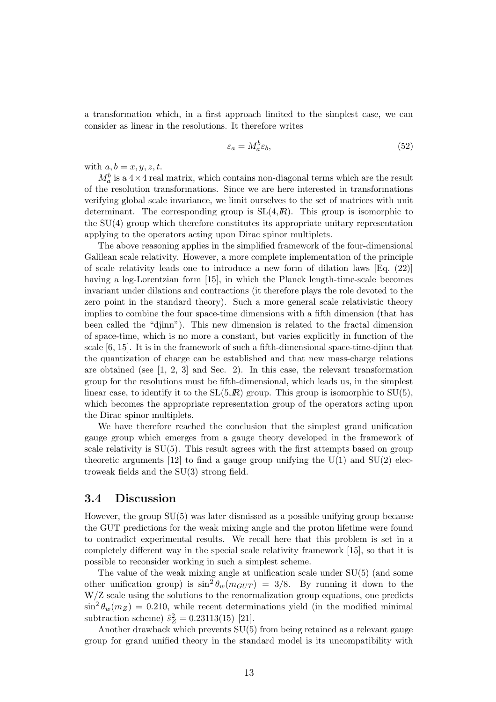a transformation which, in a first approach limited to the simplest case, we can consider as linear in the resolutions. It therefore writes

$$
\varepsilon_a = M_a^b \varepsilon_b,\tag{52}
$$

with  $a, b = x, y, z, t$ .

 $M_a^b$  is a  $4 \times 4$  real matrix, which contains non-diagonal terms which are the result of the resolution transformations. Since we are here interested in transformations verifying global scale invariance, we limit ourselves to the set of matrices with unit determinant. The corresponding group is  $SL(4,\mathbb{R})$ . This group is isomorphic to the SU(4) group which therefore constitutes its appropriate unitary representation applying to the operators acting upon Dirac spinor multiplets.

The above reasoning applies in the simplified framework of the four-dimensional Galilean scale relativity. However, a more complete implementation of the principle of scale relativity leads one to introduce a new form of dilation laws [Eq. (22)] having a log-Lorentzian form [15], in which the Planck length-time-scale becomes invariant under dilations and contractions (it therefore plays the role devoted to the zero point in the standard theory). Such a more general scale relativistic theory implies to combine the four space-time dimensions with a fifth dimension (that has been called the "djinn"). This new dimension is related to the fractal dimension of space-time, which is no more a constant, but varies explicitly in function of the scale [6, 15]. It is in the framework of such a fifth-dimensional space-time-djinn that the quantization of charge can be established and that new mass-charge relations are obtained (see [1, 2, 3] and Sec. 2). In this case, the relevant transformation group for the resolutions must be fifth-dimensional, which leads us, in the simplest linear case, to identify it to the  $SL(5,R)$  group. This group is isomorphic to  $SU(5)$ , which becomes the appropriate representation group of the operators acting upon the Dirac spinor multiplets.

We have therefore reached the conclusion that the simplest grand unification gauge group which emerges from a gauge theory developed in the framework of scale relativity is SU(5). This result agrees with the first attempts based on group theoretic arguments [12] to find a gauge group unifying the  $U(1)$  and  $SU(2)$  electroweak fields and the SU(3) strong field.

### 3.4 Discussion

However, the group SU(5) was later dismissed as a possible unifying group because the GUT predictions for the weak mixing angle and the proton lifetime were found to contradict experimental results. We recall here that this problem is set in a completely different way in the special scale relativity framework [15], so that it is possible to reconsider working in such a simplest scheme.

The value of the weak mixing angle at unification scale under  $SU(5)$  (and some other unification group) is  $\sin^2 \theta_w(m_{GUT}) = 3/8$ . By running it down to the W/Z scale using the solutions to the renormalization group equations, one predicts  $\sin^2 \theta_w(m_Z) = 0.210$ , while recent determinations yield (in the modified minimal subtraction scheme)  $\hat{s}_Z^2 = 0.23113(15)$  [21].

Another drawback which prevents SU(5) from being retained as a relevant gauge group for grand unified theory in the standard model is its uncompatibility with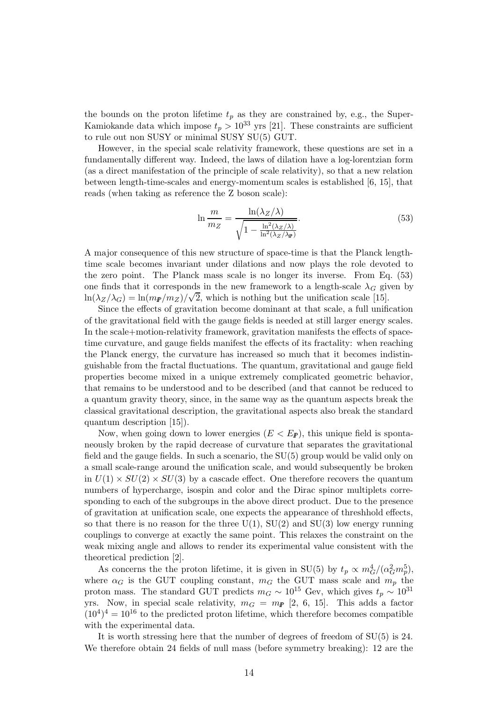the bounds on the proton lifetime  $t_p$  as they are constrained by, e.g., the Super-Kamiokande data which impose  $t_p > 10^{33}$  yrs [21]. These constraints are sufficient to rule out non SUSY or minimal SUSY SU(5) GUT.

However, in the special scale relativity framework, these questions are set in a fundamentally different way. Indeed, the laws of dilation have a log-lorentzian form (as a direct manifestation of the principle of scale relativity), so that a new relation between length-time-scales and energy-momentum scales is established [6, 15], that reads (when taking as reference the Z boson scale):

$$
\ln \frac{m}{m_Z} = \frac{\ln(\lambda_Z/\lambda)}{\sqrt{1 - \frac{\ln^2(\lambda_Z/\lambda)}{\ln^2(\lambda_Z/\lambda_{\mathbf{F}})}}}. \tag{53}
$$

A major consequence of this new structure of space-time is that the Planck lengthtime scale becomes invariant under dilations and now plays the role devoted to the zero point. The Planck mass scale is no longer its inverse. From Eq. (53) one finds that it corresponds in the new framework to a length-scale  $\lambda_G$  given by  $\ln(\lambda_Z/\lambda_G) = \ln(m_F/m_Z)/\sqrt{2}$ , which is nothing but the unification scale [15].

Since the effects of gravitation become dominant at that scale, a full unification of the gravitational field with the gauge fields is needed at still larger energy scales. In the scale+motion-relativity framework, gravitation manifests the effects of spacetime curvature, and gauge fields manifest the effects of its fractality: when reaching the Planck energy, the curvature has increased so much that it becomes indistinguishable from the fractal fluctuations. The quantum, gravitational and gauge field properties become mixed in a unique extremely complicated geometric behavior, that remains to be understood and to be described (and that cannot be reduced to a quantum gravity theory, since, in the same way as the quantum aspects break the classical gravitational description, the gravitational aspects also break the standard quantum description [15]).

Now, when going down to lower energies  $(E < E_F)$ , this unique field is spontaneously broken by the rapid decrease of curvature that separates the gravitational field and the gauge fields. In such a scenario, the SU(5) group would be valid only on a small scale-range around the unification scale, and would subsequently be broken in  $U(1) \times SU(2) \times SU(3)$  by a cascade effect. One therefore recovers the quantum numbers of hypercharge, isospin and color and the Dirac spinor multiplets corresponding to each of the subgroups in the above direct product. Due to the presence of gravitation at unification scale, one expects the appearance of threshhold effects, so that there is no reason for the three  $U(1)$ ,  $SU(2)$  and  $SU(3)$  low energy running couplings to converge at exactly the same point. This relaxes the constraint on the weak mixing angle and allows to render its experimental value consistent with the theoretical prediction [2].

As concerns the the proton lifetime, it is given in SU(5) by  $t_p \propto m_G^4/(\alpha_G^2 m_p^5)$ , where  $\alpha_G$  is the GUT coupling constant,  $m_G$  the GUT mass scale and  $m_p$  the proton mass. The standard GUT predicts  $m_G \sim 10^{15}$  Gev, which gives  $t_p \sim 10^{31}$ yrs. Now, in special scale relativity,  $m_G = m_P [2, 6, 15]$ . This adds a factor  $(10^4)^4 = 10^{16}$  to the predicted proton lifetime, which therefore becomes compatible with the experimental data.

It is worth stressing here that the number of degrees of freedom of SU(5) is 24. We therefore obtain 24 fields of null mass (before symmetry breaking): 12 are the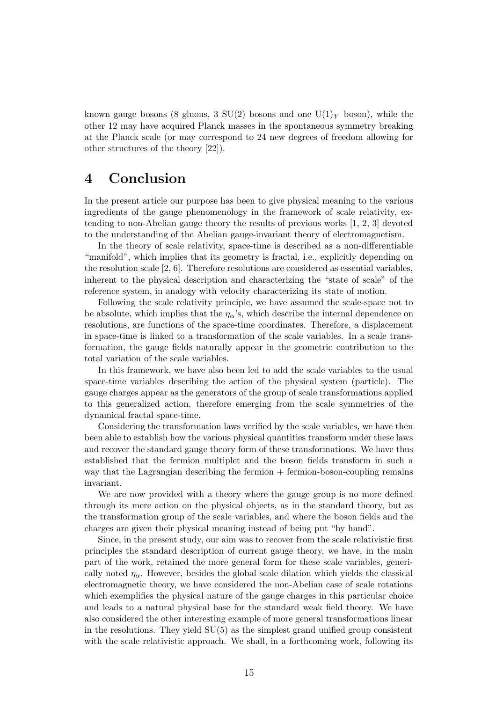known gauge bosons (8 gluons, 3 SU(2) bosons and one U(1)<sub>Y</sub> boson), while the other 12 may have acquired Planck masses in the spontaneous symmetry breaking at the Planck scale (or may correspond to 24 new degrees of freedom allowing for other structures of the theory [22]).

# 4 Conclusion

In the present article our purpose has been to give physical meaning to the various ingredients of the gauge phenomenology in the framework of scale relativity, extending to non-Abelian gauge theory the results of previous works [1, 2, 3] devoted to the understanding of the Abelian gauge-invariant theory of electromagnetism.

In the theory of scale relativity, space-time is described as a non-differentiable "manifold", which implies that its geometry is fractal, i.e., explicitly depending on the resolution scale [2, 6]. Therefore resolutions are considered as essential variables, inherent to the physical description and characterizing the "state of scale" of the reference system, in analogy with velocity characterizing its state of motion.

Following the scale relativity principle, we have assumed the scale-space not to be absolute, which implies that the  $\eta_{\alpha}$ 's, which describe the internal dependence on resolutions, are functions of the space-time coordinates. Therefore, a displacement in space-time is linked to a transformation of the scale variables. In a scale transformation, the gauge fields naturally appear in the geometric contribution to the total variation of the scale variables.

In this framework, we have also been led to add the scale variables to the usual space-time variables describing the action of the physical system (particle). The gauge charges appear as the generators of the group of scale transformations applied to this generalized action, therefore emerging from the scale symmetries of the dynamical fractal space-time.

Considering the transformation laws verified by the scale variables, we have then been able to establish how the various physical quantities transform under these laws and recover the standard gauge theory form of these transformations. We have thus established that the fermion multiplet and the boson fields transform in such a way that the Lagrangian describing the fermion  $+$  fermion-boson-coupling remains invariant.

We are now provided with a theory where the gauge group is no more defined through its mere action on the physical objects, as in the standard theory, but as the transformation group of the scale variables, and where the boson fields and the charges are given their physical meaning instead of being put "by hand".

Since, in the present study, our aim was to recover from the scale relativistic first principles the standard description of current gauge theory, we have, in the main part of the work, retained the more general form for these scale variables, generically noted  $\eta_{\alpha}$ . However, besides the global scale dilation which yields the classical electromagnetic theory, we have considered the non-Abelian case of scale rotations which exemplifies the physical nature of the gauge charges in this particular choice and leads to a natural physical base for the standard weak field theory. We have also considered the other interesting example of more general transformations linear in the resolutions. They yield SU(5) as the simplest grand unified group consistent with the scale relativistic approach. We shall, in a forthcoming work, following its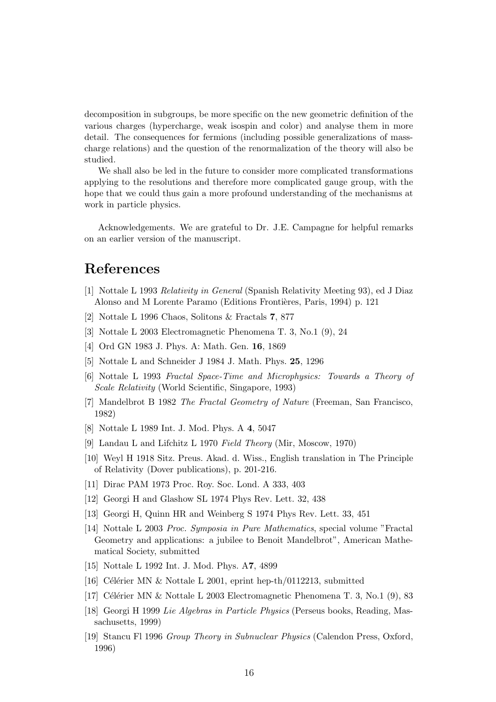decomposition in subgroups, be more specific on the new geometric definition of the various charges (hypercharge, weak isospin and color) and analyse them in more detail. The consequences for fermions (including possible generalizations of masscharge relations) and the question of the renormalization of the theory will also be studied.

We shall also be led in the future to consider more complicated transformations applying to the resolutions and therefore more complicated gauge group, with the hope that we could thus gain a more profound understanding of the mechanisms at work in particle physics.

Acknowledgements. We are grateful to Dr. J.E. Campagne for helpful remarks on an earlier version of the manuscript.

# References

- [1] Nottale L 1993 Relativity in General (Spanish Relativity Meeting 93), ed J Diaz Alonso and M Lorente Paramo (Editions Frontières, Paris, 1994) p. 121
- [2] Nottale L 1996 Chaos, Solitons & Fractals 7, 877
- [3] Nottale L 2003 Electromagnetic Phenomena T. 3, No.1 (9), 24
- [4] Ord GN 1983 J. Phys. A: Math. Gen. 16, 1869
- [5] Nottale L and Schneider J 1984 J. Math. Phys. 25, 1296
- [6] Nottale L 1993 Fractal Space-Time and Microphysics: Towards a Theory of Scale Relativity (World Scientific, Singapore, 1993)
- [7] Mandelbrot B 1982 The Fractal Geometry of Nature (Freeman, San Francisco, 1982)
- [8] Nottale L 1989 Int. J. Mod. Phys. A 4, 5047
- [9] Landau L and Lifchitz L 1970 Field Theory (Mir, Moscow, 1970)
- [10] Weyl H 1918 Sitz. Preus. Akad. d. Wiss., English translation in The Principle of Relativity (Dover publications), p. 201-216.
- [11] Dirac PAM 1973 Proc. Roy. Soc. Lond. A 333, 403
- [12] Georgi H and Glashow SL 1974 Phys Rev. Lett. 32, 438
- [13] Georgi H, Quinn HR and Weinberg S 1974 Phys Rev. Lett. 33, 451
- [14] Nottale L 2003 Proc. Symposia in Pure Mathematics, special volume "Fractal Geometry and applications: a jubilee to Benoit Mandelbrot", American Mathematical Society, submitted
- [15] Nottale L 1992 Int. J. Mod. Phys. A7, 4899
- [16] Célérier MN & Nottale L 2001, eprint hep-th/0112213, submitted
- [17] Célérier MN & Nottale L 2003 Electromagnetic Phenomena T. 3, No.1 (9), 83
- [18] Georgi H 1999 Lie Algebras in Particle Physics (Perseus books, Reading, Massachusetts, 1999)
- [19] Stancu Fl 1996 Group Theory in Subnuclear Physics (Calendon Press, Oxford, 1996)